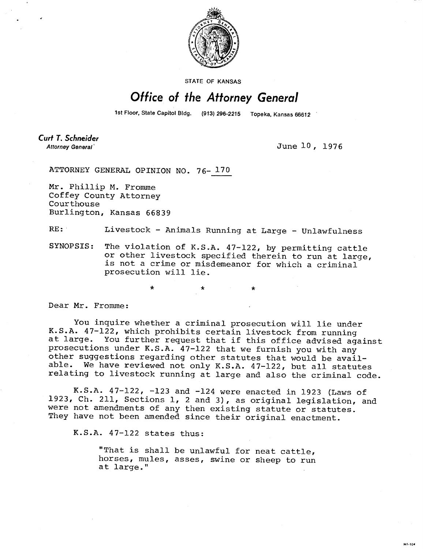

STATE OF KANSAS

## Office of the Attorney General

1st Floor, State Capitol Bldg. (913) 296-2215 Topeka, Kansas 66612

Curt T. Schneider Attorney General'

June 10, 1976

MI-104

ATTORNEY GENERAL OPINION NO. 76- 170

Mr. Phillip M. Fromme Coffey County Attorney Courthouse Burlington, Kansas 66839

RE: Livestock - Animals Running at Large - Unlawfulness

SYNOPSIS: The violation of K.S.A. 47-122, by permitting cattle or other livestock specified therein to run at large, is not a crime or misdemeanor for which a criminal prosecution will lie.

Dear Mr. Fromme:

You inquire whether a criminal prosecution will lie under K.S.A. 47-122, which prohibits certain livestock from running at large. You further request that if this office advised against prosecutions under K.S.A. 47-122 that we furnish you with any other suggestions regarding other statutes that would be available. We have reviewed not only K.S.A. 47-122, but all statutes relating to livestock running at large and also the criminal code.

K.S.A. 47-122, -123 and -124 were enacted in 1923 (Laws of 1923, Ch. 211, Sections 1, 2 and 3), as original legislation, and were not amendments of any then existing statute or statutes. They have not been amended since their original enactment.

K.S.A. 47-122 states thus:

"That is shall be unlawful for neat cattle, horses, mules, asses, swine or sheep to run at large."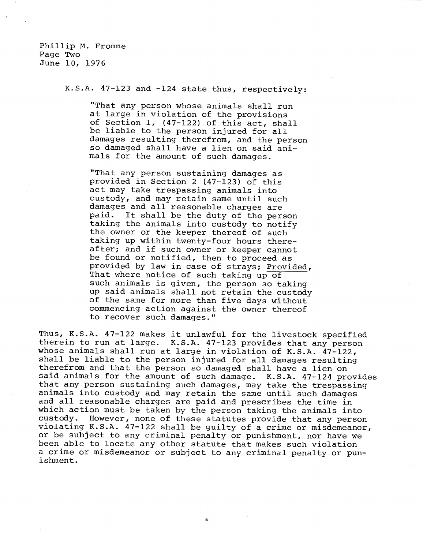Phillip M. Fromme Page Two June 10, 1976

K.S.A. 47-123 and -124 state thus, respectively:

"That any person whose animals shall run at large in violation of the provisions of Section 1, (47-122) of this act, shall be liable to the person injured for all damages resulting therefrom, and the person so damaged shall have a lien on said animals for the amount of such damages.

"That any person sustaining damages as provided in Section 2 (47-123) of this act may take trespassing animals into custody, and may retain same until such damages and all reasonable charges are paid. It shall be the duty of the person taking the animals into custody to notify the owner or the keeper thereof of such taking up within twenty-four hours thereafter; and if such owner or keeper cannot be found or notified, then to proceed as provided by law in case of strays; Provided, That where notice of such taking up of such animals is given, the person so taking up said animals shall not retain the custody of the same for more than five days without commencing action against the owner thereof to recover such damages."

Thus, K.S.A. 47-122 makes it unlawful for the livestock specified therein to run at large. K.S.A. 47-123 provides that any person whose animals shall run at large in violation of K.S.A. 47-122, shall be liable to the person injured for all damages resulting therefrom and that the person so damaged shall have a lien on said animals for the amount of such damage. K.S.A. 47-124 provides that any person sustaining such damages, may take the trespassing animals into custody and may retain the same until such damages and all reasonable charges are paid and prescribes the time in which action must be taken by the person taking the animals into<br>custody. However, none of these statutes provide that any person However, none of these statutes provide that any person violating K.S.A. 47-122 shall be guilty of a crime or misdemeanor, or be subject to any criminal penalty or punishment, nor have we been able to locate any other statute that makes such violation a crime or misdemeanor or subject to any criminal penalty or punishment.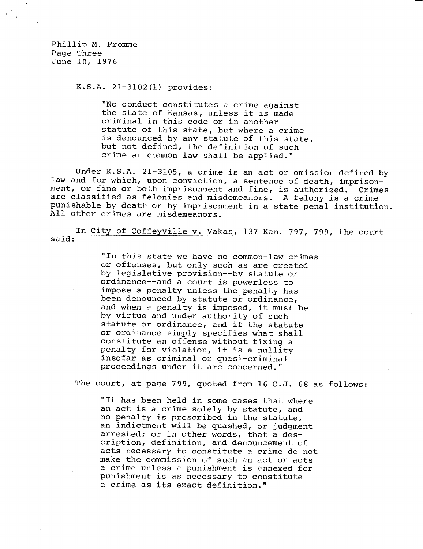Phillip M. Fromme Page Three June 10, 1976

K.S.A. 21-3102(1) provides:

"No conduct constitutes a crime against the state of Kansas, unless it is made criminal in this code or in another statute of this state, but where a crime is denounced by any statute of this state, but not defined, the definition of such crime at common law shall be applied."

Under K.S.A. 21-3105, a crime is an act or omission defined by law and for which, upon conviction, a sentence of death, imprisonment, or fine or both imprisonment and fine, is authorized. Crimes are classified as felonies and misdemeanors. A felony is a crime punishable by death or by imprisonment in a state penal institution. All other crimes are misdemeanors.

In City of Coffeyville v. Vakas, 137 Kan. 797, 799, the court said:

> "In this state we have no common-law crimes or offenses, but only such as are created by legislative provision--by statute or ordinance--and a court is powerless to impose a penalty unless the penalty has been denounced by statute or ordinance, and when a penalty is imposed, it must be by virtue and under authority of such statute or ordinance, and if the statute or ordinance simply specifies what shall constitute an offense without fixing a penalty for violation, it is a nullity insofar as criminal or quasi-criminal proceedings under it are concerned."

The court, at page 799, quoted from 16 C.J. 68 as follows:

"It has been held in some cases that where an act is a crime solely by statute, and no penalty is prescribed in the statute, an indictment will be quashed, or judgment arrested; or in other words, that a description, definition, and denouncement of acts necessary to constitute a crime do not make the commission of such an act or acts a crime unless a punishment is annexed for punishment is as necessary to constitute a crime as its exact definition."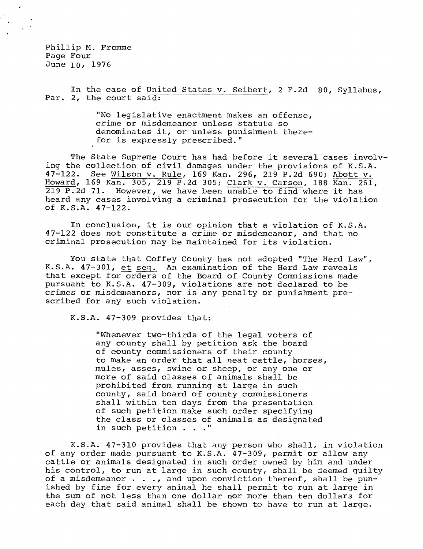Phillip M. Fromme Page Four June 10, 1976

In the case of United States v. Seibert, 2 F.2d 80, Syllabus, Par. 2, the court said:

> "No legislative enactment makes an offense, crime or misdemeanor unless statute so denominates it, or unless punishment therefor is expressly prescribed."

The State Supreme Court has had before it several cases involving the collection of civil damages under the provisions of K.S.A. 47-122. See Wilson v. Rule, 169 Kan. 296, 219 P.2d 690; Abott v. Howard, 169 Kan. 305, 219 P.2d 305; Clark v. Carson, 188 Kan. 261, 219 P.2d 71. However, we have been unable to find where it has heard any cases involving a criminal prosecution for the violation of K.S.A. 47-122.

In conclusion, it is our opinion that a violation of K.S.A. 47-122 does not constitute a crime or misdemeanor, and that no criminal prosecution may be maintained for its violation.

You state that Coffey County has not adopted "The Herd Law", K.S.A. 47-301, et seq. An examination of the Herd Law reveals that except for orders of the Board of County Commissions made pursuant to K.S.A. 47-309, violations are not declared to be crimes or misdemeanors, nor is any penalty or punishment prescribed for any such violation.

K.S.A. 47-309 provides that:

"Whenever two-thirds of the legal voters of any county shall by petition ask the board of county commissioners of their county to make an order that all neat cattle, horses, mules, asses, swine or sheep, or any one or more of said classes of animals shall be prohibited from running at large in such county, said board of county commissioners shall within ten days from the presentation of such petition make such order specifying the class or classes of animals as designated in such petition . . ."

K.S.A. 47-310 provides that any person who shall, in violation of any order made pursuant to K.S.A. 47-309, permit or allow any cattle or animals designated in such order owned by him and under his control, to run at large in such county, shall be deemed guilty of a misdemeanor  $\cdots$ , and upon conviction thereof, shall be punished by fine for every animal he shall permit to run at large in the sum of not less than one dollar nor more than ten dollars for each day that said animal shall be shown to have to run at large.